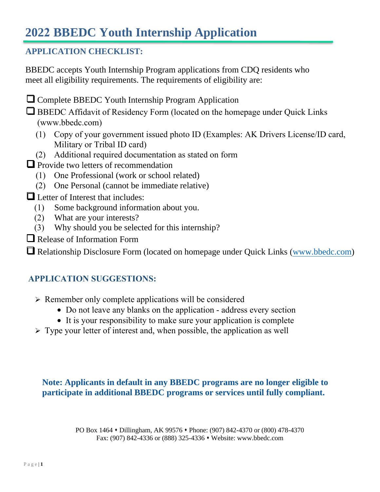### **APPLICATION CHECKLIST:**

BBEDC accepts Youth Internship Program applications from CDQ residents who meet all eligibility requirements. The requirements of eligibility are:

❑ Complete BBEDC Youth Internship Program Application

□ BBEDC Affidavit of Residency Form (located on the homepage under Quick Links (www.bbedc.com)

- (1) Copy of your government issued photo ID (Examples: AK Drivers License/ID card, Military or Tribal ID card)
- (2) Additional required documentation as stated on form

■ Provide two letters of recommendation

- (1) One Professional (work or school related)
- (2) One Personal (cannot be immediate relative)

❑ Letter of Interest that includes:

- (1) Some background information about you.
- (2) What are your interests?
- (3) Why should you be selected for this internship?
- ❑ Release of Information Form

□ Relationship Disclosure Form (located on homepage under Quick Links (www.bbedc.com)

### **APPLICATION SUGGESTIONS:**

- $\triangleright$  Remember only complete applications will be considered
	- Do not leave any blanks on the application address every section
	- It is your responsibility to make sure your application is complete
- $\triangleright$  Type your letter of interest and, when possible, the application as well

**Note: Applicants in default in any BBEDC programs are no longer eligible to participate in additional BBEDC programs or services until fully compliant.** 

> PO Box 1464 • Dillingham, AK 99576 • Phone: (907) 842-4370 or (800) 478-4370 Fax: (907) 842-4336 or (888) 325-4336 • Website: [www.bbedc.com](http://www.bbedc.com/)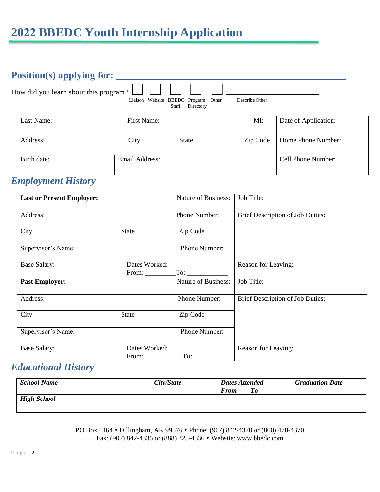| Position(s) applying for: $\Box$      |                |                                                              |                |                      |
|---------------------------------------|----------------|--------------------------------------------------------------|----------------|----------------------|
| How did you learn about this program? |                | Liaison Website BBEDC Program<br>Other<br>Directory<br>Staff | Describe Other |                      |
| Last Name:                            | First Name:    |                                                              | MI:            | Date of Application: |
| Address:                              | City           | <b>State</b>                                                 | Zip Code       | Home Phone Number:   |
| Birth date:                           | Email Address: |                                                              |                | Cell Phone Number:   |

## *Employment History*

| <b>Last or Present Employer:</b> |                               | <b>Nature of Business:</b> | Job Title:                       |
|----------------------------------|-------------------------------|----------------------------|----------------------------------|
| Address:                         |                               | Phone Number:              | Brief Description of Job Duties: |
| City                             | State                         | Zip Code                   |                                  |
| Supervisor's Name:               |                               | Phone Number:              |                                  |
| <b>Base Salary:</b>              | Dates Worked:<br>From: $\_\_$ | $\Gamma$ To: $\Gamma$      | Reason for Leaving:              |
| <b>Past Employer:</b>            |                               | <b>Nature of Business:</b> | Job Title:                       |
| Address:                         |                               | Phone Number:              | Brief Description of Job Duties: |
| City                             | State                         | Zip Code                   |                                  |
| Supervisor's Name:               |                               | Phone Number:              |                                  |
| <b>Base Salary:</b>              | Dates Worked:<br>From: $\_\_$ | To:                        | Reason for Leaving:              |

## *Educational History*

| <b>School Name</b> | City/State | <b>Dates Attended</b><br><b>From</b><br>To | <b>Graduation Date</b> |
|--------------------|------------|--------------------------------------------|------------------------|
| <b>High School</b> |            |                                            |                        |

PO Box 1464 • Dillingham, AK 99576 • Phone: (907) 842-4370 or (800) 478-4370 Fax: (907) 842-4336 or (888) 325-4336 ⬧ Website: www.bbedc.com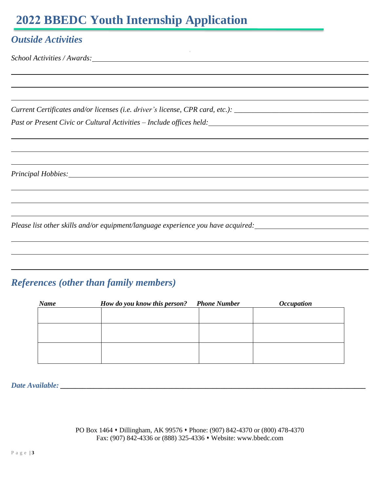### *Outside Activities*

*School Activities / Awards:*

*Current Certificates and/or licenses (i.e. driver's license, CPR card, etc.): \_\_\_\_\_\_\_\_\_\_\_\_\_\_\_\_\_\_\_\_\_\_\_\_\_\_\_\_\_\_\_\_\_\_\_\_* 

*Past or Present Civic or Cultural Activities – Include offices held:* 

*Principal Hobbies:*

*Please list other skills and/or equipment/language experience you have acquired:*

## *References (other than family members)*

| <b>Name</b> | How do you know this person? Phone Number | <i><b>Occupation</b></i> |
|-------------|-------------------------------------------|--------------------------|
|             |                                           |                          |
|             |                                           |                          |
|             |                                           |                          |
|             |                                           |                          |
|             |                                           |                          |

 $\sim$   $^{-1}$ 

*Date Available: \_\_\_\_\_\_\_\_\_\_\_\_\_\_\_\_\_\_\_\_\_\_\_\_\_\_\_\_\_\_\_\_\_\_\_\_\_\_\_\_\_\_\_\_\_\_\_\_\_\_\_\_\_\_\_\_\_\_\_\_\_\_\_\_\_\_\_\_\_\_\_\_\_\_\_\_\_\_\_\_\_\_*

PO Box 1464 • Dillingham, AK 99576 • Phone: (907) 842-4370 or (800) 478-4370 Fax: (907) 842-4336 or (888) 325-4336 • Website: www.bbedc.com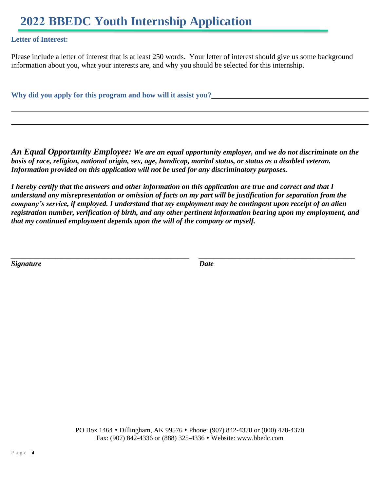### **Letter of Interest:**

Please include a letter of interest that is at least 250 words. Your letter of interest should give us some background information about you, what your interests are, and why you should be selected for this internship.

**Why did you apply for this program and how will it assist you?**

*An Equal Opportunity Employee: We are an equal opportunity employer, and we do not discriminate on the basis of race, religion, national origin, sex, age, handicap, marital status, or status as a disabled veteran. Information provided on this application will not be used for any discriminatory purposes.* 

*I hereby certify that the answers and other information on this application are true and correct and that I understand any misrepresentation or omission of facts on my part will be justification for separation from the company's service, if employed. I understand that my employment may be contingent upon receipt of an alien registration number, verification of birth, and any other pertinent information bearing upon my employment, and that my continued employment depends upon the will of the company or myself.*

*\_\_\_\_\_\_\_\_\_\_\_\_\_\_\_\_\_\_\_\_\_\_\_\_\_\_\_\_\_\_\_\_\_\_\_\_\_\_\_\_\_\_\_\_\_\_\_\_ \_\_\_\_\_\_\_\_\_\_\_\_\_\_\_\_\_\_\_\_\_\_\_\_\_\_\_\_\_\_\_\_\_\_\_\_\_\_\_\_\_\_*

*Signature Date*

PO Box 1464 • Dillingham, AK 99576 • Phone: (907) 842-4370 or (800) 478-4370 Fax: (907) 842-4336 or (888) 325-4336 • Website: www.bbedc.com